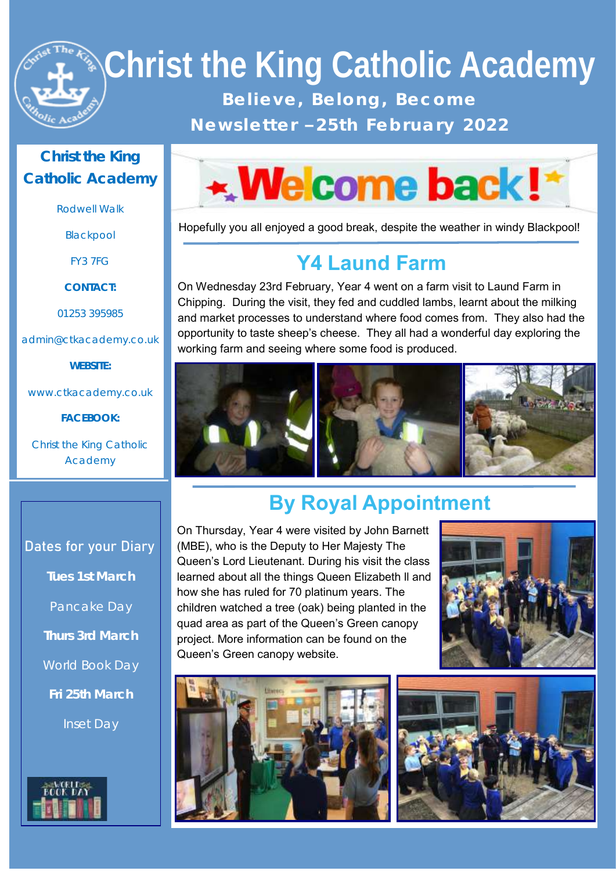

# **Christ the King Catholic Academy**  Believe, Belong, Become

**N e w s l e t t e r – 2 5 t h F e b r u a r y 2 0 2 2**

#### **Christ the King Catholic Academy**

Rodwell Walk

Blackpool

FY3 7FG

**CONTACT:**

01253 395985

admin@ctkacademy.co.uk

**WEBSITE:**

www.ctkacademy.co.uk

**FACEBOOK:**

Christ the King Catholic Academy



Hopefully you all enjoyed a good break, despite the weather in windy Blackpool!

### **Y4 Laund Farm**

On Wednesday 23rd February, Year 4 went on a farm visit to Laund Farm in Chipping. During the visit, they fed and cuddled lambs, learnt about the milking and market processes to understand where food comes from. They also had the opportunity to taste sheep's cheese. They all had a wonderful day exploring the working farm and seeing where some food is produced.



## **By Royal Appointment**

#### **Dates for your Diary**

**Tues 1st March** Pancake Day **Thurs 3rd March** World Book Day **Fri 25th March** Inset Day



On Thursday, Year 4 were visited by John Barnett (MBE), who is the Deputy to Her Majesty The Queen's Lord Lieutenant. During his visit the class learned about all the things Queen Elizabeth ll and how she has ruled for 70 platinum years. The children watched a tree (oak) being planted in the quad area as part of the Queen's Green canopy project. More information can be found on the Queen's Green canopy website.





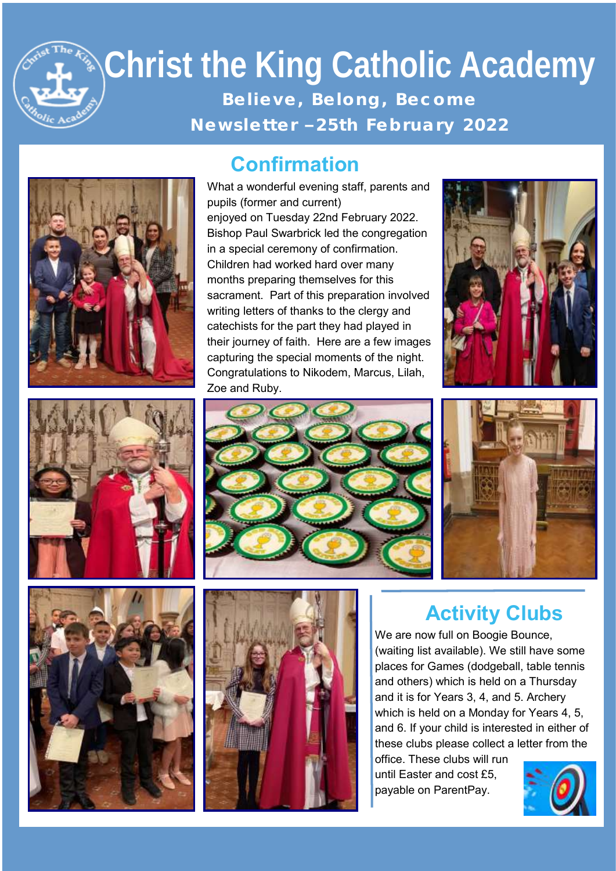# **Christ the King Catholic Academy**  Believe, Belong, Become **N e w s l e t t e r – 2 5 t h F e b r u a r y 2 0 2 2**







What a wonderful evening staff, parents and pupils (former and current) enjoyed on Tuesday 22nd February 2022. Bishop Paul Swarbrick led the congregation in a special ceremony of confirmation. Children had worked hard over many months preparing themselves for this sacrament. Part of this preparation involved writing letters of thanks to the clergy and catechists for the part they had played in their journey of faith. Here are a few images capturing the special moments of the night. Congratulations to Nikodem, Marcus, Lilah, Zoe and Ruby.











#### **Activity Clubs**

We are now full on Boogie Bounce, (waiting list available). We still have some places for Games (dodgeball, table tennis and others) which is held on a Thursday and it is for Years 3, 4, and 5. Archery which is held on a Monday for Years 4, 5, and 6. If your child is interested in either of these clubs please collect a letter from the office. These clubs will run

until Easter and cost £5, payable on ParentPay.

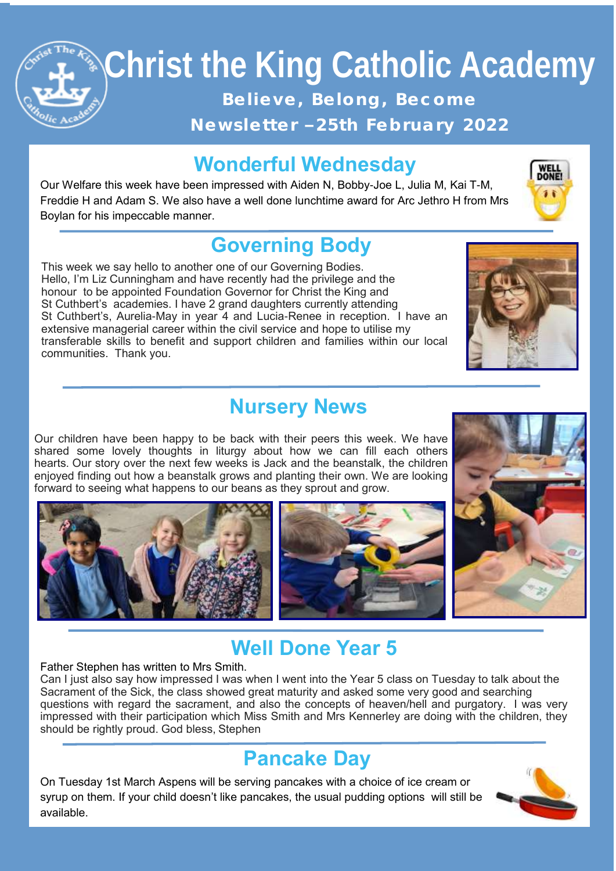## **Christ the King Catholic Academy Christ the King Catholic Academy**  Believe, Belong, Become **N e w s l e t t e r – 2 5 t h F e b r u a r y 2 0 2 2**

### **Wonderful Wednesday**

Our Welfare this week have been impressed with Aiden N, Bobby-Joe L, Julia M, Kai T-M, Freddie H and Adam S. We also have a well done lunchtime award for Arc Jethro H from Mrs Boylan for his impeccable manner.

### **Governing Body**

This week we say hello to another one of our Governing Bodies. Hello, I'm Liz Cunningham and have recently had the privilege and the honour to be appointed Foundation Governor for Christ the King and St Cuthbert's academies. I have 2 grand daughters currently attending St Cuthbert's, Aurelia-May in year 4 and Lucia-Renee in reception. I have an extensive managerial career within the civil service and hope to utilise my transferable skills to benefit and support children and families within our local communities. Thank you.

#### **Nursery News**

Our children have been happy to be back with their peers this week. We have shared some lovely thoughts in liturgy about how we can fill each others hearts. Our story over the next few weeks is Jack and the beanstalk, the children enjoyed finding out how a beanstalk grows and planting their own. We are looking forward to seeing what happens to our beans as they sprout and grow.







#### **Well Done Year 5**

#### Father Stephen has written to Mrs Smith.

Can I just also say how impressed I was when I went into the Year 5 class on Tuesday to talk about the Sacrament of the Sick, the class showed great maturity and asked some very good and searching questions with regard the sacrament, and also the concepts of heaven/hell and purgatory. I was very impressed with their participation which Miss Smith and Mrs Kennerley are doing with the children, they should be rightly proud. God bless, Stephen

#### **Pancake Day**

On Tuesday 1st March Aspens will be serving pancakes with a choice of ice cream or syrup on them. If your child doesn't like pancakes, the usual pudding options will still be available.